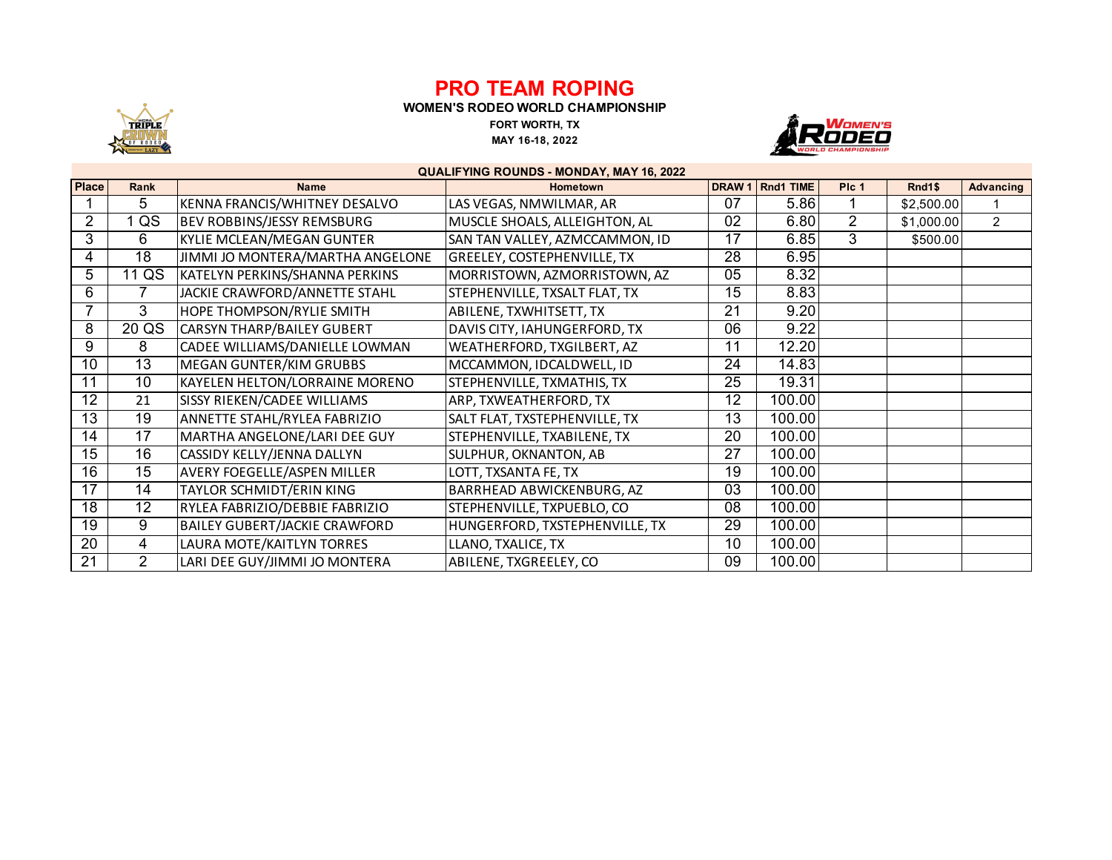## **PRO TEAM ROPING**



**WOMEN'S RODEO WORLD CHAMPIONSHIP**

**FORT WORTH, TX MAY 16-18, 2022**



| <b>QUALIFYING ROUNDS - MONDAY, MAY 16, 2022</b> |                |                                      |                                    |    |                    |                  |            |                  |  |  |  |
|-------------------------------------------------|----------------|--------------------------------------|------------------------------------|----|--------------------|------------------|------------|------------------|--|--|--|
| <b>Place</b>                                    | <b>Rank</b>    | <b>Name</b>                          | <b>Hometown</b>                    |    | DRAW 1   Rnd1 TIME | PIc <sub>1</sub> | Rnd1\$     | <b>Advancing</b> |  |  |  |
|                                                 | 5              | KENNA FRANCIS/WHITNEY DESALVO        | LAS VEGAS, NMWILMAR, AR            | 07 | 5.86               |                  | \$2,500.00 |                  |  |  |  |
| $\overline{2}$                                  | QS             | <b>BEV ROBBINS/JESSY REMSBURG</b>    | MUSCLE SHOALS, ALLEIGHTON, AL      | 02 | 6.80               | $\overline{2}$   | \$1,000.00 | $\overline{2}$   |  |  |  |
| 3                                               | 6              | KYLIE MCLEAN/MEGAN GUNTER            | SAN TAN VALLEY, AZMCCAMMON, ID     | 17 | 6.85               | 3                | \$500.00   |                  |  |  |  |
| 4                                               | 18             | JIMMI JO MONTERA/MARTHA ANGELONE     | <b>GREELEY, COSTEPHENVILLE, TX</b> | 28 | 6.95               |                  |            |                  |  |  |  |
| 5                                               | 11 QS          | KATELYN PERKINS/SHANNA PERKINS       | MORRISTOWN, AZMORRISTOWN, AZ       | 05 | 8.32               |                  |            |                  |  |  |  |
| 6                                               |                | JACKIE CRAWFORD/ANNETTE STAHL        | STEPHENVILLE, TXSALT FLAT, TX      | 15 | 8.83               |                  |            |                  |  |  |  |
| 7                                               | 3              | HOPE THOMPSON/RYLIE SMITH            | ABILENE, TXWHITSETT, TX            | 21 | 9.20               |                  |            |                  |  |  |  |
| 8                                               | 20 QS          | <b>CARSYN THARP/BAILEY GUBERT</b>    | DAVIS CITY, IAHUNGERFORD, TX       | 06 | 9.22               |                  |            |                  |  |  |  |
| 9                                               | 8              | CADEE WILLIAMS/DANIELLE LOWMAN       | WEATHERFORD, TXGILBERT, AZ         | 11 | 12.20              |                  |            |                  |  |  |  |
| 10                                              | 13             | <b>MEGAN GUNTER/KIM GRUBBS</b>       | MCCAMMON, IDCALDWELL, ID           | 24 | 14.83              |                  |            |                  |  |  |  |
| 11                                              | 10             | KAYELEN HELTON/LORRAINE MORENO       | STEPHENVILLE, TXMATHIS, TX         | 25 | 19.31              |                  |            |                  |  |  |  |
| 12                                              | 21             | SISSY RIEKEN/CADEE WILLIAMS          | ARP, TXWEATHERFORD, TX             | 12 | 100.00             |                  |            |                  |  |  |  |
| 13                                              | 19             | ANNETTE STAHL/RYLEA FABRIZIO         | SALT FLAT, TXSTEPHENVILLE, TX      | 13 | 100.00             |                  |            |                  |  |  |  |
| 14                                              | 17             | MARTHA ANGELONE/LARI DEE GUY         | STEPHENVILLE, TXABILENE, TX        | 20 | 100.00             |                  |            |                  |  |  |  |
| 15                                              | 16             | CASSIDY KELLY/JENNA DALLYN           | SULPHUR, OKNANTON, AB              | 27 | 100.00             |                  |            |                  |  |  |  |
| 16                                              | 15             | <b>AVERY FOEGELLE/ASPEN MILLER</b>   | LOTT, TXSANTA FE, TX               | 19 | 100.00             |                  |            |                  |  |  |  |
| $\overline{17}$                                 | 14             | TAYLOR SCHMIDT/ERIN KING             | BARRHEAD ABWICKENBURG, AZ          | 03 | 100.00             |                  |            |                  |  |  |  |
| 18                                              | 12             | RYLEA FABRIZIO/DEBBIE FABRIZIO       | STEPHENVILLE, TXPUEBLO, CO         | 08 | 100.00             |                  |            |                  |  |  |  |
| 19                                              | 9              | <b>BAILEY GUBERT/JACKIE CRAWFORD</b> | HUNGERFORD, TXSTEPHENVILLE, TX     | 29 | 100.00             |                  |            |                  |  |  |  |
| 20                                              | 4              | LAURA MOTE/KAITLYN TORRES            | LLANO, TXALICE, TX                 | 10 | 100.00             |                  |            |                  |  |  |  |
| 21                                              | $\overline{2}$ | LARI DEE GUY/JIMMI JO MONTERA        | ABILENE, TXGREELEY, CO             | 09 | 100.00             |                  |            |                  |  |  |  |